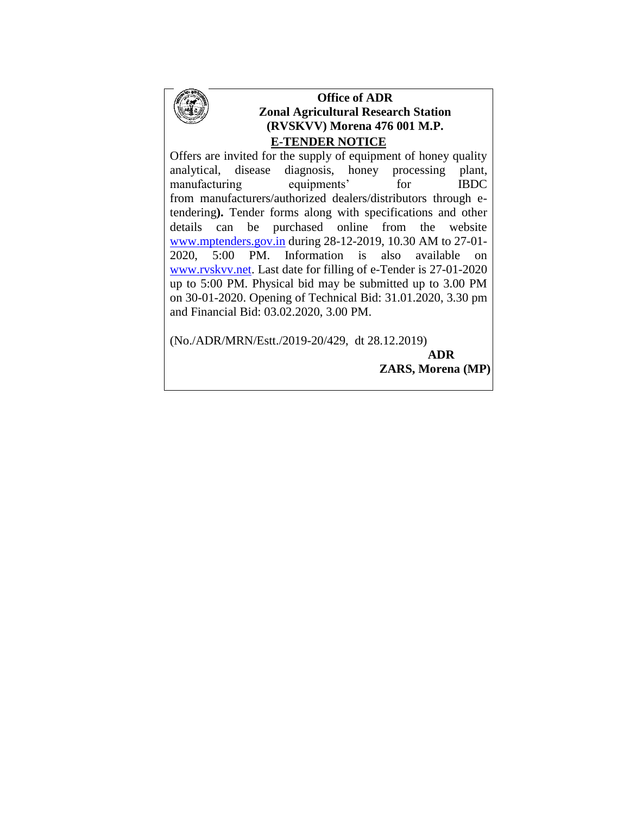

# **Office of ADR Zonal Agricultural Research Station (RVSKVV) Morena 476 001 M.P. E-TENDER NOTICE**

Offers are invited for the supply of equipment of honey quality analytical, disease diagnosis, honey processing plant, manufacturing equipments' for IBDC from manufacturers/authorized dealers/distributors through etendering**).** Tender forms along with specifications and other details can be purchased online from the website [www.mptenders.gov.in](http://www.mpeproc.gov.in/) during 28-12-2019, 10.30 AM to 27-01- 2020, 5:00 PM. Information is also available on [www.rvskvv.net.](http://www.jnkvv.org/) Last date for filling of e-Tender is 27-01-2020 up to 5:00 PM. Physical bid may be submitted up to 3.00 PM on 30-01-2020. Opening of Technical Bid: 31.01.2020, 3.30 pm and Financial Bid: 03.02.2020, 3.00 PM.

(No./ADR/MRN/Estt./2019-20/429, dt 28.12.2019)

 **ADR ZARS, Morena (MP)**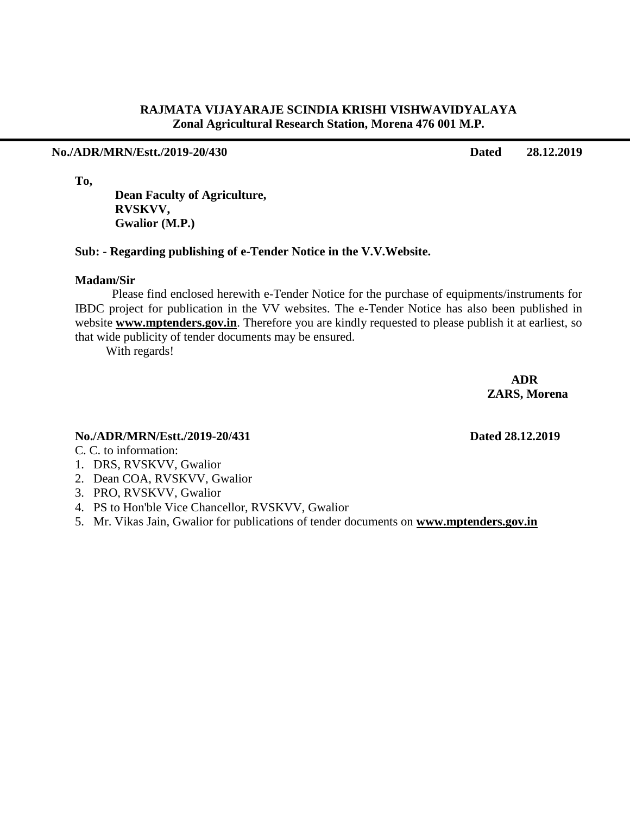### **RAJMATA VIJAYARAJE SCINDIA KRISHI VISHWAVIDYALAYA Zonal Agricultural Research Station, Morena 476 001 M.P.**

### **No./ADR/MRN/Estt./2019-20/430 Dated 28.12.2019**

**To,**

 **Dean Faculty of Agriculture, RVSKVV, Gwalior (M.P.)**

### **Sub: - Regarding publishing of e-Tender Notice in the V.V.Website.**

### **Madam/Sir**

Please find enclosed herewith e-Tender Notice for the purchase of equipments/instruments for IBDC project for publication in the VV websites. The e-Tender Notice has also been published in website **www.mptenders.gov.in**. Therefore you are kindly requested to please publish it at earliest, so that wide publicity of tender documents may be ensured.

With regards!

 **ADR ZARS, Morena**

# **No./ADR/MRN/Estt./2019-20/431 Dated 28.12.2019**

C. C. to information:

- 1. DRS, RVSKVV, Gwalior
- 2. Dean COA, RVSKVV, Gwalior
- 3. PRO, RVSKVV, Gwalior
- 4. PS to Hon'ble Vice Chancellor, RVSKVV, Gwalior
- 5. Mr. Vikas Jain, Gwalior for publications of tender documents on **www.mptenders.gov.in**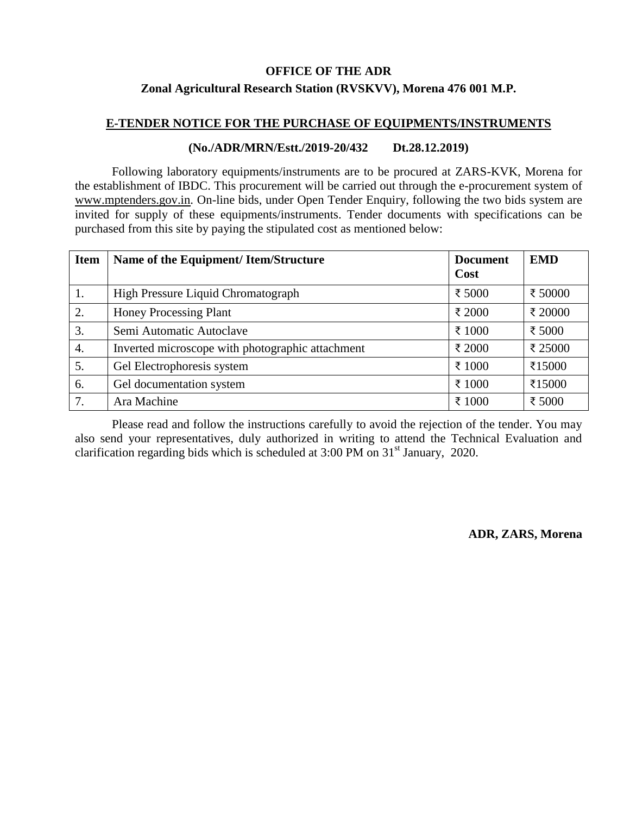### **OFFICE OF THE ADR**

### **Zonal Agricultural Research Station (RVSKVV), Morena 476 001 M.P.**

### **E-TENDER NOTICE FOR THE PURCHASE OF EQUIPMENTS/INSTRUMENTS**

### **(No./ADR/MRN/Estt./2019-20/432 Dt.28.12.2019)**

Following laboratory equipments/instruments are to be procured at ZARS-KVK, Morena for the establishment of IBDC. This procurement will be carried out through the e-procurement system of [www.mptenders.gov.in.](http://www.mpeproc.gov.in/) On-line bids, under Open Tender Enquiry, following the two bids system are invited for supply of these equipments/instruments. Tender documents with specifications can be purchased from this site by paying the stipulated cost as mentioned below:

| <b>Item</b> | Name of the Equipment/ Item/Structure            | <b>Document</b> | <b>EMD</b> |
|-------------|--------------------------------------------------|-----------------|------------|
|             |                                                  | Cost            |            |
| 1.          | High Pressure Liquid Chromatograph               | ₹ 5000          | ₹ 50000    |
| 2.          | <b>Honey Processing Plant</b>                    | ₹ 2000          | ₹ 20000    |
| 3.          | Semi Automatic Autoclave                         | ₹ 1000          | ₹ 5000     |
| 4.          | Inverted microscope with photographic attachment | ₹ 2000          | ₹ 25000    |
| 5.          | Gel Electrophoresis system                       | ₹ 1000          | ₹15000     |
| 6.          | Gel documentation system                         | ₹ 1000          | ₹15000     |
| 7.          | Ara Machine                                      | ₹ 1000          | ₹ 5000     |

Please read and follow the instructions carefully to avoid the rejection of the tender. You may also send your representatives, duly authorized in writing to attend the Technical Evaluation and clarification regarding bids which is scheduled at  $3:00 \text{ PM}$  on  $31^{\text{st}}$  January, 2020.

**ADR, ZARS, Morena**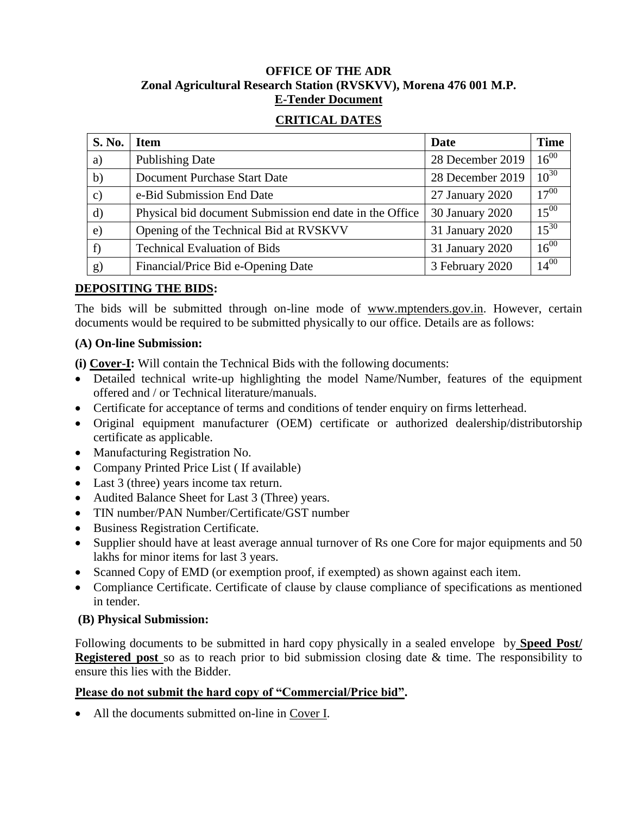# **OFFICE OF THE ADR Zonal Agricultural Research Station (RVSKVV), Morena 476 001 M.P. E-Tender Document**

# **CRITICAL DATES**

| <b>S. No.</b> | <b>Item</b>                                             | Date             | <b>Time</b> |
|---------------|---------------------------------------------------------|------------------|-------------|
| a)            | <b>Publishing Date</b>                                  | 28 December 2019 | $16^{00}$   |
| b)            | Document Purchase Start Date                            | 28 December 2019 | $10^{30}$   |
| $\mathbf{c})$ | e-Bid Submission End Date                               | 27 January 2020  | $17^{00}$   |
| $\mathbf{d}$  | Physical bid document Submission end date in the Office | 30 January 2020  | $15^{00}$   |
| $\epsilon$ )  | Opening of the Technical Bid at RVSKVV                  | 31 January 2020  | $15^{30}$   |
| f)            | <b>Technical Evaluation of Bids</b>                     | 31 January 2020  | $16^{00}$   |
| g)            | Financial/Price Bid e-Opening Date                      | 3 February 2020  | $14^{00}$   |

# **DEPOSITING THE BIDS:**

The bids will be submitted through on-line mode of [www.mptenders.gov.in.](http://www.mpeproc.gov.in/) However, certain documents would be required to be submitted physically to our office. Details are as follows:

# **(A) On-line Submission:**

**(i) Cover-I:** Will contain the Technical Bids with the following documents:

- Detailed technical write-up highlighting the model Name/Number, features of the equipment offered and / or Technical literature/manuals.
- Certificate for acceptance of terms and conditions of tender enquiry on firms letterhead.
- Original equipment manufacturer (OEM) certificate or authorized dealership/distributorship certificate as applicable.
- Manufacturing Registration No.
- Company Printed Price List (If available)
- Last 3 (three) years income tax return.
- Audited Balance Sheet for Last 3 (Three) years.
- TIN number/PAN Number/Certificate/GST number
- Business Registration Certificate.
- Supplier should have at least average annual turnover of Rs one Core for major equipments and 50 lakhs for minor items for last 3 years.
- Scanned Copy of EMD (or exemption proof, if exempted) as shown against each item.
- Compliance Certificate. Certificate of clause by clause compliance of specifications as mentioned in tender.

# **(B) Physical Submission:**

Following documents to be submitted in hard copy physically in a sealed envelope by **Speed Post/ Registered post** so as to reach prior to bid submission closing date & time. The responsibility to ensure this lies with the Bidder.

# **Please do not submit the hard copy of "Commercial/Price bid".**

All the documents submitted on-line in Cover I.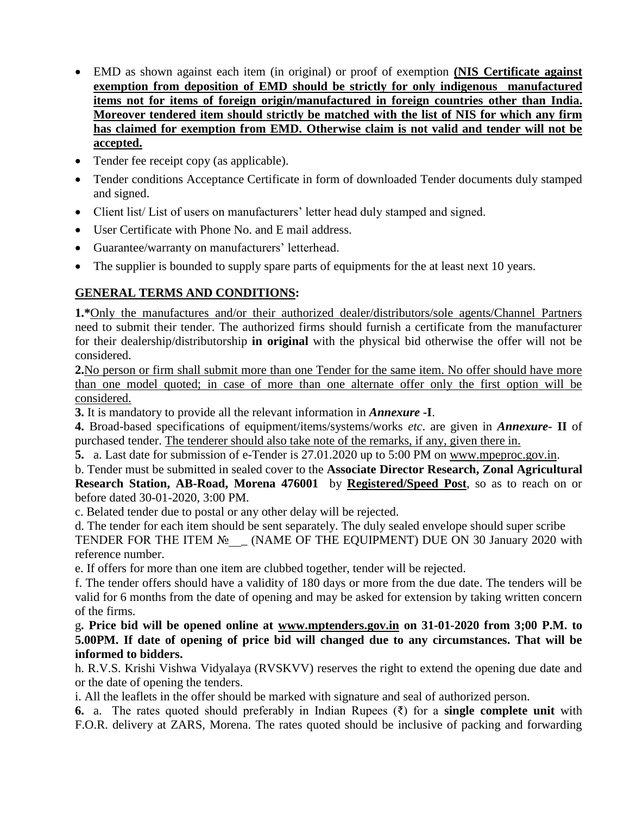- EMD as shown against each item (in original) or proof of exemption **(NIS Certificate against exemption from deposition of EMD should be strictly for only indigenous manufactured items not for items of foreign origin/manufactured in foreign countries other than India. Moreover tendered item should strictly be matched with the list of NIS for which any firm has claimed for exemption from EMD. Otherwise claim is not valid and tender will not be accepted.**
- Tender fee receipt copy (as applicable).
- Tender conditions Acceptance Certificate in form of downloaded Tender documents duly stamped and signed.
- Client list/List of users on manufacturers' letter head duly stamped and signed.
- User Certificate with Phone No. and E mail address.
- Guarantee/warranty on manufacturers' letterhead.
- The supplier is bounded to supply spare parts of equipments for the at least next 10 years.

# **GENERAL TERMS AND CONDITIONS:**

**1.\***Only the manufactures and/or their authorized dealer/distributors/sole agents/Channel Partners need to submit their tender. The authorized firms should furnish a certificate from the manufacturer for their dealership/distributorship **in original** with the physical bid otherwise the offer will not be considered.

**2.**No person or firm shall submit more than one Tender for the same item. No offer should have more than one model quoted; in case of more than one alternate offer only the first option will be considered.

**3.** It is mandatory to provide all the relevant information in *Annexure* **-I**.

**4.** Broad-based specifications of equipment/items/systems/works *etc*. are given in *Annexure-* **II** of purchased tender. The tenderer should also take note of the remarks, if any, given there in.

**5.** a. Last date for submission of e-Tender is 27.01.2020 up to 5:00 PM on [www.mpeproc.gov.in.](http://www.mpeproc.gov.in/)

b. Tender must be submitted in sealed cover to the **Associate Director Research, Zonal Agricultural Research Station, AB-Road, Morena 476001** by **Registered/Speed Post**, so as to reach on or before dated 30-01-2020, 3:00 PM.

c. Belated tender due to postal or any other delay will be rejected.

d. The tender for each item should be sent separately. The duly sealed envelope should super scribe TENDER FOR THE ITEM  $N_{\ge}$  (NAME OF THE EQUIPMENT) DUE ON 30 January 2020 with reference number.

e. If offers for more than one item are clubbed together, tender will be rejected.

f. The tender offers should have a validity of 180 days or more from the due date. The tenders will be valid for 6 months from the date of opening and may be asked for extension by taking written concern of the firms.

g**. Price bid will be opened online at [www.mptenders.gov.in](http://www.mpeproc.gov.in/) on 31-01-2020 from 3;00 P.M. to 5.00PM. If date of opening of price bid will changed due to any circumstances. That will be informed to bidders.**

h. R.V.S. Krishi Vishwa Vidyalaya (RVSKVV) reserves the right to extend the opening due date and or the date of opening the tenders.

i. All the leaflets in the offer should be marked with signature and seal of authorized person.

**6.** a. The rates quoted should preferably in Indian Rupees (₹) for a **single complete unit** with F.O.R. delivery at ZARS, Morena. The rates quoted should be inclusive of packing and forwarding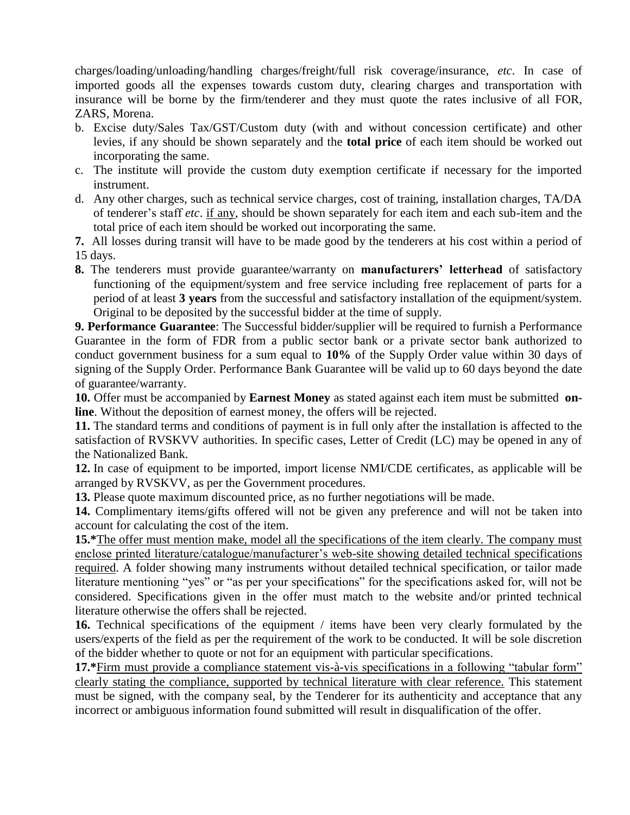charges/loading/unloading/handling charges/freight/full risk coverage/insurance, *etc*. In case of imported goods all the expenses towards custom duty, clearing charges and transportation with insurance will be borne by the firm/tenderer and they must quote the rates inclusive of all FOR, ZARS, Morena.

- b. Excise duty/Sales Tax/GST/Custom duty (with and without concession certificate) and other levies, if any should be shown separately and the **total price** of each item should be worked out incorporating the same.
- c. The institute will provide the custom duty exemption certificate if necessary for the imported instrument.
- d. Any other charges, such as technical service charges, cost of training, installation charges, TA/DA of tenderer's staff *etc*. if any, should be shown separately for each item and each sub-item and the total price of each item should be worked out incorporating the same.

**7.** All losses during transit will have to be made good by the tenderers at his cost within a period of 15 days.

**8.** The tenderers must provide guarantee/warranty on **manufacturers' letterhead** of satisfactory functioning of the equipment/system and free service including free replacement of parts for a period of at least **3 years** from the successful and satisfactory installation of the equipment/system. Original to be deposited by the successful bidder at the time of supply.

**9. Performance Guarantee**: The Successful bidder/supplier will be required to furnish a Performance Guarantee in the form of FDR from a public sector bank or a private sector bank authorized to conduct government business for a sum equal to **10%** of the Supply Order value within 30 days of signing of the Supply Order. Performance Bank Guarantee will be valid up to 60 days beyond the date of guarantee/warranty.

**10.** Offer must be accompanied by **Earnest Money** as stated against each item must be submitted **online**. Without the deposition of earnest money, the offers will be rejected.

**11.** The standard terms and conditions of payment is in full only after the installation is affected to the satisfaction of RVSKVV authorities. In specific cases, Letter of Credit (LC) may be opened in any of the Nationalized Bank.

**12.** In case of equipment to be imported, import license NMI/CDE certificates, as applicable will be arranged by RVSKVV, as per the Government procedures.

**13.** Please quote maximum discounted price, as no further negotiations will be made.

**14.** Complimentary items/gifts offered will not be given any preference and will not be taken into account for calculating the cost of the item.

**15.\***The offer must mention make, model all the specifications of the item clearly. The company must enclose printed literature/catalogue/manufacturer's web-site showing detailed technical specifications required. A folder showing many instruments without detailed technical specification, or tailor made literature mentioning "yes" or "as per your specifications" for the specifications asked for, will not be considered. Specifications given in the offer must match to the website and/or printed technical literature otherwise the offers shall be rejected.

**16.** Technical specifications of the equipment / items have been very clearly formulated by the users/experts of the field as per the requirement of the work to be conducted. It will be sole discretion of the bidder whether to quote or not for an equipment with particular specifications.

**17.\***Firm must provide a compliance statement vis-à-vis specifications in a following "tabular form" clearly stating the compliance, supported by technical literature with clear reference. This statement must be signed, with the company seal, by the Tenderer for its authenticity and acceptance that any incorrect or ambiguous information found submitted will result in disqualification of the offer.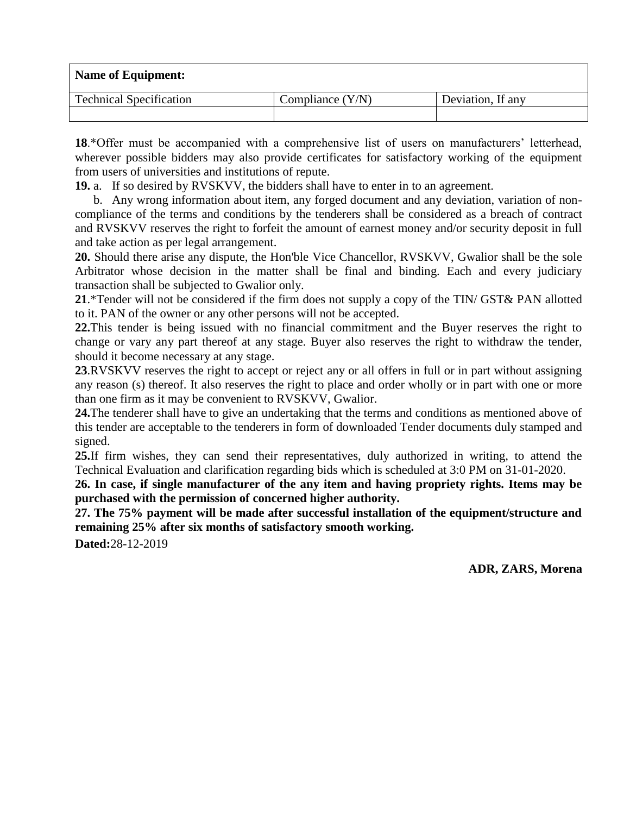| <b>Name of Equipment:</b>      |                    |                   |  |
|--------------------------------|--------------------|-------------------|--|
| <b>Technical Specification</b> | Compliance $(Y/N)$ | Deviation, If any |  |
|                                |                    |                   |  |

**18**.\*Offer must be accompanied with a comprehensive list of users on manufacturers' letterhead, wherever possible bidders may also provide certificates for satisfactory working of the equipment from users of universities and institutions of repute.

**19.** a. If so desired by RVSKVV, the bidders shall have to enter in to an agreement.

b. Any wrong information about item, any forged document and any deviation, variation of noncompliance of the terms and conditions by the tenderers shall be considered as a breach of contract and RVSKVV reserves the right to forfeit the amount of earnest money and/or security deposit in full and take action as per legal arrangement.

**20.** Should there arise any dispute, the Hon'ble Vice Chancellor, RVSKVV, Gwalior shall be the sole Arbitrator whose decision in the matter shall be final and binding. Each and every judiciary transaction shall be subjected to Gwalior only.

**21**.\*Tender will not be considered if the firm does not supply a copy of the TIN/ GST& PAN allotted to it. PAN of the owner or any other persons will not be accepted.

**22.**This tender is being issued with no financial commitment and the Buyer reserves the right to change or vary any part thereof at any stage. Buyer also reserves the right to withdraw the tender, should it become necessary at any stage.

**23**.RVSKVV reserves the right to accept or reject any or all offers in full or in part without assigning any reason (s) thereof. It also reserves the right to place and order wholly or in part with one or more than one firm as it may be convenient to RVSKVV, Gwalior.

**24.**The tenderer shall have to give an undertaking that the terms and conditions as mentioned above of this tender are acceptable to the tenderers in form of downloaded Tender documents duly stamped and signed.

**25.**If firm wishes, they can send their representatives, duly authorized in writing, to attend the Technical Evaluation and clarification regarding bids which is scheduled at 3:0 PM on 31-01-2020.

**26. In case, if single manufacturer of the any item and having propriety rights. Items may be purchased with the permission of concerned higher authority.**

**27. The 75% payment will be made after successful installation of the equipment/structure and remaining 25% after six months of satisfactory smooth working.**

**Dated:**28-12-2019

**ADR, ZARS, Morena**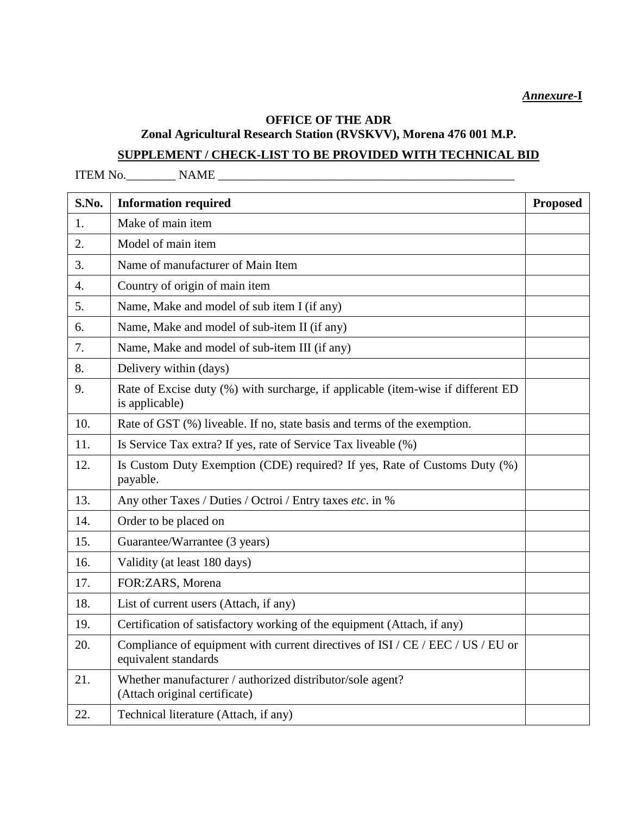*Annexure-***I** 

# **OFFICE OF THE ADR**

**Zonal Agricultural Research Station (RVSKVV), Morena 476 001 M.P.**

# **SUPPLEMENT / CHECK-LIST TO BE PROVIDED WITH TECHNICAL BID**

ITEM No.\_\_\_\_\_\_\_\_ NAME \_\_\_\_\_\_\_\_\_\_\_\_\_\_\_\_\_\_\_\_\_\_\_\_\_\_\_\_\_\_\_\_\_\_\_\_\_\_\_\_\_\_\_\_\_\_\_\_

| S.No.            | <b>Information required</b>                                                                            | <b>Proposed</b> |
|------------------|--------------------------------------------------------------------------------------------------------|-----------------|
| 1.               | Make of main item                                                                                      |                 |
| 2.               | Model of main item                                                                                     |                 |
| $\overline{3}$ . | Name of manufacturer of Main Item                                                                      |                 |
| $\overline{4}$ . | Country of origin of main item                                                                         |                 |
| 5.               | Name, Make and model of sub item I (if any)                                                            |                 |
| 6.               | Name, Make and model of sub-item II (if any)                                                           |                 |
| 7.               | Name, Make and model of sub-item III (if any)                                                          |                 |
| 8.               | Delivery within (days)                                                                                 |                 |
| 9.               | Rate of Excise duty (%) with surcharge, if applicable (item-wise if different ED<br>is applicable)     |                 |
| 10.              | Rate of GST (%) liveable. If no, state basis and terms of the exemption.                               |                 |
| 11.              | Is Service Tax extra? If yes, rate of Service Tax liveable (%)                                         |                 |
| 12.              | Is Custom Duty Exemption (CDE) required? If yes, Rate of Customs Duty (%)<br>payable.                  |                 |
| 13.              | Any other Taxes / Duties / Octroi / Entry taxes etc. in %                                              |                 |
| 14.              | Order to be placed on                                                                                  |                 |
| 15.              | Guarantee/Warrantee (3 years)                                                                          |                 |
| 16.              | Validity (at least 180 days)                                                                           |                 |
| 17.              | FOR:ZARS, Morena                                                                                       |                 |
| 18.              | List of current users (Attach, if any)                                                                 |                 |
| 19.              | Certification of satisfactory working of the equipment (Attach, if any)                                |                 |
| 20.              | Compliance of equipment with current directives of ISI / CE / EEC / US / EU or<br>equivalent standards |                 |
| 21.              | Whether manufacturer / authorized distributor/sole agent?<br>(Attach original certificate)             |                 |
| 22.              | Technical literature (Attach, if any)                                                                  |                 |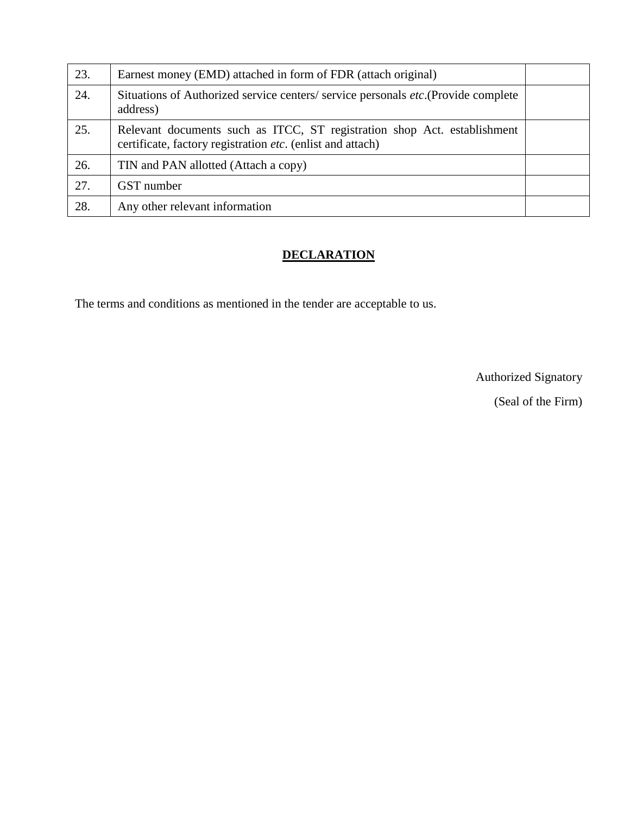| 23. | Earnest money (EMD) attached in form of FDR (attach original)                                                                          |  |
|-----|----------------------------------------------------------------------------------------------------------------------------------------|--|
| 24. | Situations of Authorized service centers/ service personals etc. (Provide complete<br>address)                                         |  |
| 25. | Relevant documents such as ITCC, ST registration shop Act. establishment<br>certificate, factory registration etc. (enlist and attach) |  |
| 26. | TIN and PAN allotted (Attach a copy)                                                                                                   |  |
| 27. | GST number                                                                                                                             |  |
| 28. | Any other relevant information                                                                                                         |  |

# **DECLARATION**

The terms and conditions as mentioned in the tender are acceptable to us.

Authorized Signatory

(Seal of the Firm)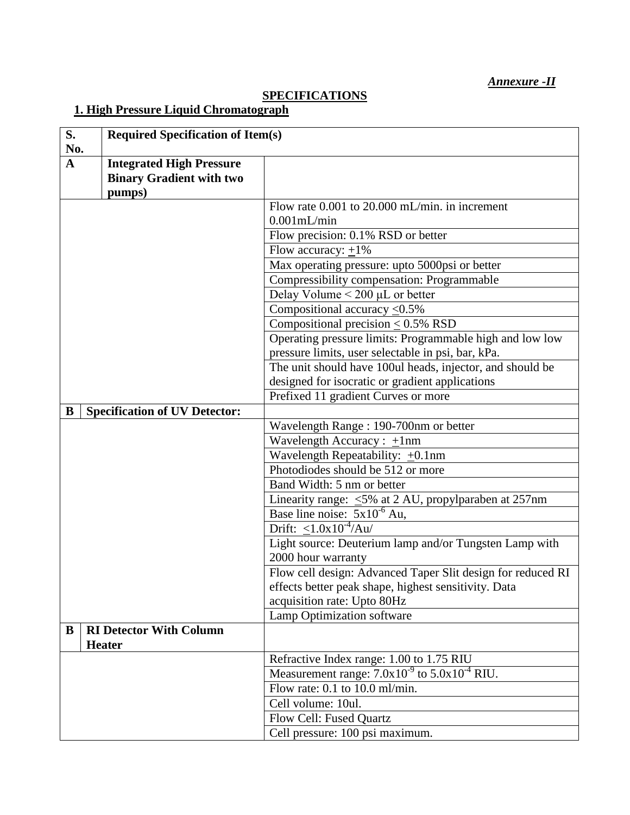# **SPECIFICATIONS**

# **1. High Pressure Liquid Chromatograph**

| S.<br>No.   |                                      | <b>Required Specification of Item(s)</b>                    |  |
|-------------|--------------------------------------|-------------------------------------------------------------|--|
| $\mathbf A$ | <b>Integrated High Pressure</b>      |                                                             |  |
|             | <b>Binary Gradient with two</b>      |                                                             |  |
|             | pumps)                               |                                                             |  |
|             |                                      | Flow rate 0.001 to 20.000 mL/min. in increment              |  |
|             |                                      | $0.001$ mL/min                                              |  |
|             |                                      | Flow precision: 0.1% RSD or better                          |  |
|             |                                      | Flow accuracy: $\pm 1\%$                                    |  |
|             |                                      | Max operating pressure: upto 5000psi or better              |  |
|             |                                      | Compressibility compensation: Programmable                  |  |
|             |                                      | Delay Volume $< 200 \mu L$ or better                        |  |
|             |                                      | Compositional accuracy $\leq 0.5\%$                         |  |
|             |                                      | Compositional precision $\leq 0.5\%$ RSD                    |  |
|             |                                      | Operating pressure limits: Programmable high and low low    |  |
|             |                                      | pressure limits, user selectable in psi, bar, kPa.          |  |
|             |                                      | The unit should have 100ul heads, injector, and should be   |  |
|             |                                      | designed for isocratic or gradient applications             |  |
|             |                                      | Prefixed 11 gradient Curves or more                         |  |
| B           | <b>Specification of UV Detector:</b> |                                                             |  |
|             |                                      | Wavelength Range: 190-700nm or better                       |  |
|             |                                      | Wavelength Accuracy : $\pm 1$ nm                            |  |
|             |                                      | Wavelength Repeatability: $\pm 0.1$ nm                      |  |
|             |                                      | Photodiodes should be 512 or more                           |  |
|             |                                      | Band Width: 5 nm or better                                  |  |
|             |                                      | Linearity range: $\leq$ 5% at 2 AU, propylparaben at 257nm  |  |
|             |                                      | Base line noise: $5x10^{-6}$ Au,                            |  |
|             |                                      | Drift: $\leq$ 1.0x10 <sup>-4</sup> /Au/                     |  |
|             |                                      | Light source: Deuterium lamp and/or Tungsten Lamp with      |  |
|             |                                      | 2000 hour warranty                                          |  |
|             |                                      | Flow cell design: Advanced Taper Slit design for reduced RI |  |
|             |                                      | effects better peak shape, highest sensitivity. Data        |  |
|             |                                      | acquisition rate: Upto 80Hz                                 |  |
|             |                                      | Lamp Optimization software                                  |  |
| B           | <b>RI Detector With Column</b>       |                                                             |  |
|             | <b>Heater</b>                        |                                                             |  |
|             |                                      | Refractive Index range: 1.00 to 1.75 RIU                    |  |
|             |                                      | Measurement range: $7.0x10^{-9}$ to $5.0x10^{-4}$ RIU.      |  |
|             |                                      | Flow rate: $0.1$ to $10.0$ ml/min.                          |  |
|             |                                      | Cell volume: 10ul.                                          |  |
|             |                                      | Flow Cell: Fused Quartz                                     |  |
|             |                                      | Cell pressure: 100 psi maximum.                             |  |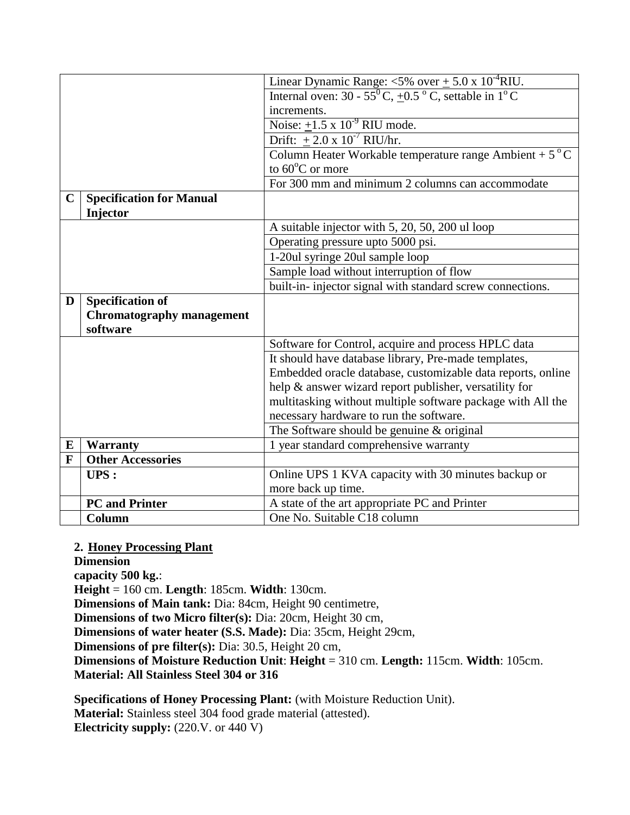|             |                                  | Linear Dynamic Range: <5% over $\pm$ 5.0 x 10 <sup>-4</sup> RIU.               |
|-------------|----------------------------------|--------------------------------------------------------------------------------|
|             |                                  | Internal oven: $30 - 55^{\circ}C$ , $+0.5^{\circ}C$ , settable in $1^{\circ}C$ |
|             |                                  | increments.                                                                    |
|             |                                  | Noise: $\pm 1.5 \times 10^{-9}$ RIU mode.                                      |
|             |                                  | Drift: $\pm 2.0 \times 10^{-7}$ RIU/hr.                                        |
|             |                                  | Column Heater Workable temperature range Ambient + $5^{\circ}$ C               |
|             |                                  | to $60^{\circ}$ C or more                                                      |
|             |                                  | For 300 mm and minimum 2 columns can accommodate                               |
| $\mathbf C$ | <b>Specification for Manual</b>  |                                                                                |
|             | Injector                         |                                                                                |
|             |                                  | A suitable injector with 5, 20, 50, 200 ul loop                                |
|             |                                  | Operating pressure upto 5000 psi.                                              |
|             |                                  | 1-20ul syringe 20ul sample loop                                                |
|             |                                  | Sample load without interruption of flow                                       |
|             |                                  | built-in- injector signal with standard screw connections.                     |
| D           | <b>Specification of</b>          |                                                                                |
|             | <b>Chromatography management</b> |                                                                                |
|             | software                         |                                                                                |
|             |                                  | Software for Control, acquire and process HPLC data                            |
|             |                                  | It should have database library, Pre-made templates,                           |
|             |                                  | Embedded oracle database, customizable data reports, online                    |
|             |                                  | help & answer wizard report publisher, versatility for                         |
|             |                                  | multitasking without multiple software package with All the                    |
|             |                                  | necessary hardware to run the software.                                        |
|             |                                  | The Software should be genuine & original                                      |
| E           | <b>Warranty</b>                  | 1 year standard comprehensive warranty                                         |
| F           | <b>Other Accessories</b>         |                                                                                |
|             | UPS:                             | Online UPS 1 KVA capacity with 30 minutes backup or                            |
|             |                                  | more back up time.                                                             |
|             | <b>PC</b> and Printer            | A state of the art appropriate PC and Printer                                  |
|             | Column                           | One No. Suitable C18 column                                                    |

### **2. Honey Processing Plant**

**Dimension**

**capacity 500 kg.**:

**Height** = 160 cm. **Length**: 185cm. **Width**: 130cm.

**Dimensions of Main tank:** Dia: 84cm, Height 90 centimetre,

**Dimensions of two Micro filter(s):** Dia: 20cm, Height 30 cm,

**Dimensions of water heater (S.S. Made):** Dia: 35cm, Height 29cm,

**Dimensions of pre filter(s):** Dia: 30.5, Height 20 cm,

**Dimensions of Moisture Reduction Unit**: **Height** = 310 cm. **Length:** 115cm. **Width**: 105cm. **Material: All Stainless Steel 304 or 316**

**Specifications of Honey Processing Plant:** (with Moisture Reduction Unit).

**Material:** Stainless steel 304 food grade material (attested). **Electricity supply:** (220.V. or 440 V)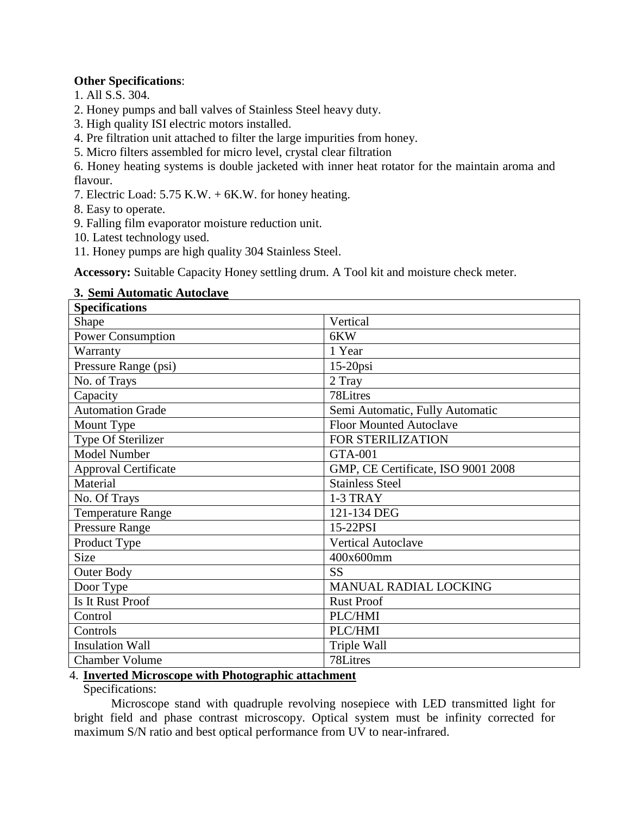### **Other Specifications**:

- 1. All S.S. 304.
- 2. Honey pumps and ball valves of Stainless Steel heavy duty.
- 3. High quality ISI electric motors installed.
- 4. Pre filtration unit attached to filter the large impurities from honey.
- 5. Micro filters assembled for micro level, crystal clear filtration

6. Honey heating systems is double jacketed with inner heat rotator for the maintain aroma and flavour.

- 7. Electric Load: 5.75 K.W. + 6K.W. for honey heating.
- 8. Easy to operate.
- 9. Falling film evaporator moisture reduction unit.
- 10. Latest technology used.
- 11. Honey pumps are high quality 304 Stainless Steel.

**Accessory:** Suitable Capacity Honey settling drum. A Tool kit and moisture check meter.

### **3. Semi Automatic Autoclave**

| <b>Specifications</b>       |                                    |  |
|-----------------------------|------------------------------------|--|
| Shape                       | Vertical                           |  |
| <b>Power Consumption</b>    | 6KW                                |  |
| Warranty                    | 1 Year                             |  |
| Pressure Range (psi)        | $15-20$ psi                        |  |
| No. of Trays                | 2 Tray                             |  |
| Capacity                    | 78Litres                           |  |
| <b>Automation Grade</b>     | Semi Automatic, Fully Automatic    |  |
| Mount Type                  | <b>Floor Mounted Autoclave</b>     |  |
| Type Of Sterilizer          | FOR STERILIZATION                  |  |
| <b>Model Number</b>         | <b>GTA-001</b>                     |  |
| <b>Approval Certificate</b> | GMP, CE Certificate, ISO 9001 2008 |  |
| Material                    | <b>Stainless Steel</b>             |  |
| No. Of Trays                | 1-3 TRAY                           |  |
| <b>Temperature Range</b>    | 121-134 DEG                        |  |
| <b>Pressure Range</b>       | 15-22PSI                           |  |
| Product Type                | <b>Vertical Autoclave</b>          |  |
| <b>Size</b>                 | 400x600mm                          |  |
| <b>Outer Body</b>           | <b>SS</b>                          |  |
| Door Type                   | MANUAL RADIAL LOCKING              |  |
| Is It Rust Proof            | <b>Rust Proof</b>                  |  |
| Control                     | PLC/HMI                            |  |
| Controls                    | PLC/HMI                            |  |
| <b>Insulation Wall</b>      | Triple Wall                        |  |
| <b>Chamber Volume</b>       | 78Litres                           |  |

### 4. **Inverted Microscope with Photographic attachment**

Specifications:

Microscope stand with quadruple revolving nosepiece with LED transmitted light for bright field and phase contrast microscopy. Optical system must be infinity corrected for maximum S/N ratio and best optical performance from UV to near-infrared.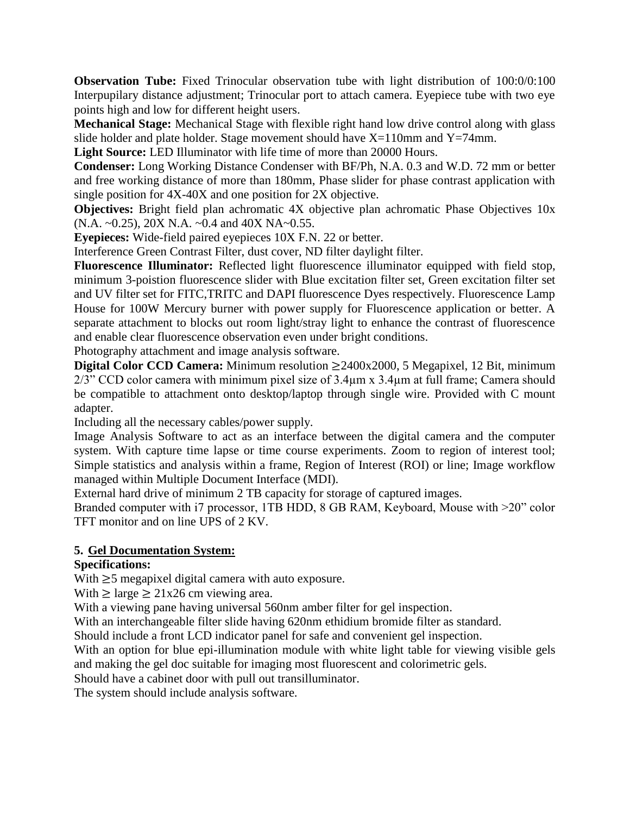**Observation Tube:** Fixed Trinocular observation tube with light distribution of 100:0/0:100 Interpupilary distance adjustment; Trinocular port to attach camera. Eyepiece tube with two eye points high and low for different height users.

**Mechanical Stage:** Mechanical Stage with flexible right hand low drive control along with glass slide holder and plate holder. Stage movement should have  $X=110$ mm and  $Y=74$ mm.

**Light Source:** LED Illuminator with life time of more than 20000 Hours.

**Condenser:** Long Working Distance Condenser with BF/Ph, N.A. 0.3 and W.D. 72 mm or better and free working distance of more than 180mm, Phase slider for phase contrast application with single position for 4X-40X and one position for 2X objective.

**Objectives:** Bright field plan achromatic 4X objective plan achromatic Phase Objectives 10x (N.A. ~0.25), 20X N.A. ~0.4 and 40X NA~0.55.

**Eyepieces:** Wide-field paired eyepieces 10X F.N. 22 or better.

Interference Green Contrast Filter, dust cover, ND filter daylight filter.

**Fluorescence Illuminator:** Reflected light fluorescence illuminator equipped with field stop, minimum 3-poistion fluorescence slider with Blue excitation filter set, Green excitation filter set and UV filter set for FITC,TRITC and DAPI fluorescence Dyes respectively. Fluorescence Lamp House for 100W Mercury burner with power supply for Fluorescence application or better. A separate attachment to blocks out room light/stray light to enhance the contrast of fluorescence and enable clear fluorescence observation even under bright conditions.

Photography attachment and image analysis software.

**Digital Color CCD Camera:** Minimum resolution  $\geq$  2400x2000, 5 Megapixel, 12 Bit, minimum 2/3" CCD color camera with minimum pixel size of 3.4 $\mu$ m x 3.4 $\mu$ m at full frame; Camera should be compatible to attachment onto desktop/laptop through single wire. Provided with C mount adapter.

Including all the necessary cables/power supply.

Image Analysis Software to act as an interface between the digital camera and the computer system. With capture time lapse or time course experiments. Zoom to region of interest tool; Simple statistics and analysis within a frame, Region of Interest (ROI) or line; Image workflow managed within Multiple Document Interface (MDI).

External hard drive of minimum 2 TB capacity for storage of captured images.

Branded computer with i7 processor, 1TB HDD, 8 GB RAM, Keyboard, Mouse with  $>20$ " color TFT monitor and on line UPS of 2 KV.

### **5. Gel Documentation System:**

### **Specifications:**

With  $\geq$ 5 megapixel digital camera with auto exposure.

With  $\geq$  large  $\geq$  21x26 cm viewing area.

With a viewing pane having universal 560nm amber filter for gel inspection.

With an interchangeable filter slide having 620nm ethidium bromide filter as standard.

Should include a front LCD indicator panel for safe and convenient gel inspection.

With an option for blue epi-illumination module with white light table for viewing visible gels and making the gel doc suitable for imaging most fluorescent and colorimetric gels.

Should have a cabinet door with pull out transilluminator.

The system should include analysis software.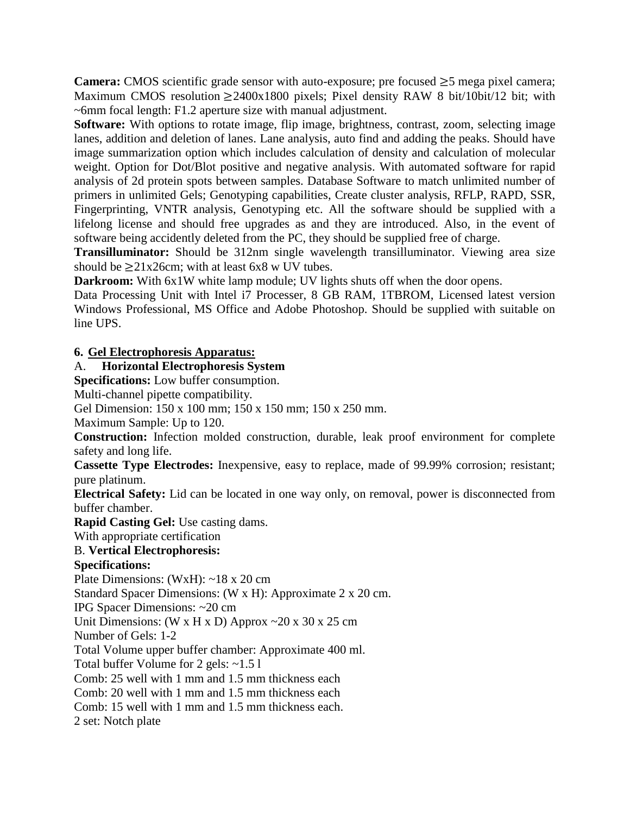**Camera:** CMOS scientific grade sensor with auto-exposure; pre focused  $\geq$ 5 mega pixel camera; Maximum CMOS resolution  $\geq 2400x1800$  pixels; Pixel density RAW 8 bit/10bit/12 bit; with ~6mm focal length: F1.2 aperture size with manual adjustment.

**Software:** With options to rotate image, flip image, brightness, contrast, zoom, selecting image lanes, addition and deletion of lanes. Lane analysis, auto find and adding the peaks. Should have image summarization option which includes calculation of density and calculation of molecular weight. Option for Dot/Blot positive and negative analysis. With automated software for rapid analysis of 2d protein spots between samples. Database Software to match unlimited number of primers in unlimited Gels; Genotyping capabilities, Create cluster analysis, RFLP, RAPD, SSR, Fingerprinting, VNTR analysis, Genotyping etc. All the software should be supplied with a lifelong license and should free upgrades as and they are introduced. Also, in the event of software being accidently deleted from the PC, they should be supplied free of charge.

**Transilluminator:** Should be 312nm single wavelength transilluminator. Viewing area size should be  $\geq$  21x26cm; with at least 6x8 w UV tubes.

**Darkroom:** With 6x1W white lamp module; UV lights shuts off when the door opens.

Data Processing Unit with Intel i7 Processer, 8 GB RAM, 1TBROM, Licensed latest version Windows Professional, MS Office and Adobe Photoshop. Should be supplied with suitable on line UPS.

# **6. Gel Electrophoresis Apparatus:**

# A. **Horizontal Electrophoresis System**

**Specifications:** Low buffer consumption.

Multi-channel pipette compatibility.

Gel Dimension: 150 x 100 mm; 150 x 150 mm; 150 x 250 mm.

Maximum Sample: Up to 120.

**Construction:** Infection molded construction, durable, leak proof environment for complete safety and long life.

**Cassette Type Electrodes:** Inexpensive, easy to replace, made of 99.99% corrosion; resistant; pure platinum.

**Electrical Safety:** Lid can be located in one way only, on removal, power is disconnected from buffer chamber.

**Rapid Casting Gel:** Use casting dams.

With appropriate certification

# B. **Vertical Electrophoresis:**

**Specifications:**

Plate Dimensions: (WxH): ~18 x 20 cm

Standard Spacer Dimensions: (W x H): Approximate 2 x 20 cm.

IPG Spacer Dimensions: ~20 cm

Unit Dimensions: (W x H x D) Approx  $\sim$  20 x 30 x 25 cm

Number of Gels: 1-2

Total Volume upper buffer chamber: Approximate 400 ml.

Total buffer Volume for 2 gels: ~1.5 l

Comb: 25 well with 1 mm and 1.5 mm thickness each

Comb: 20 well with 1 mm and 1.5 mm thickness each

Comb: 15 well with 1 mm and 1.5 mm thickness each.

2 set: Notch plate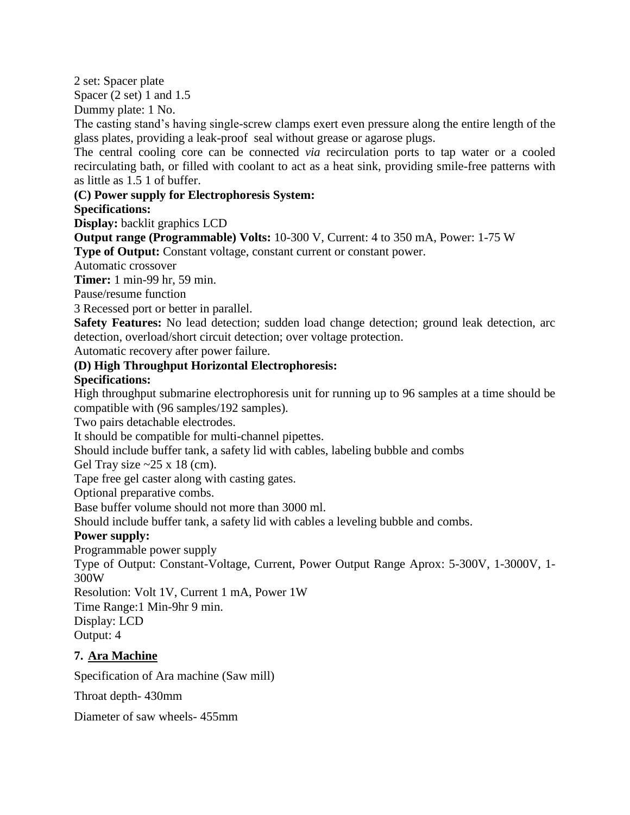2 set: Spacer plate

Spacer (2 set) 1 and 1.5

Dummy plate: 1 No.

The casting stand's having single-screw clamps exert even pressure along the entire length of the glass plates, providing a leak-proof seal without grease or agarose plugs.

The central cooling core can be connected *via* recirculation ports to tap water or a cooled recirculating bath, or filled with coolant to act as a heat sink, providing smile-free patterns with as little as 1.5 1 of buffer.

# **(C) Power supply for Electrophoresis System:**

# **Specifications:**

**Display:** backlit graphics LCD

**Output range (Programmable) Volts:** 10-300 V, Current: 4 to 350 mA, Power: 1-75 W **Type of Output:** Constant voltage, constant current or constant power.

Automatic crossover

**Timer:** 1 min-99 hr, 59 min.

Pause/resume function

3 Recessed port or better in parallel.

**Safety Features:** No lead detection; sudden load change detection; ground leak detection, arc detection, overload/short circuit detection; over voltage protection.

Automatic recovery after power failure.

# **(D) High Throughput Horizontal Electrophoresis:**

# **Specifications:**

High throughput submarine electrophoresis unit for running up to 96 samples at a time should be compatible with (96 samples/192 samples).

Two pairs detachable electrodes.

It should be compatible for multi-channel pipettes.

Should include buffer tank, a safety lid with cables, labeling bubble and combs

Gel Tray size  $\approx$  25 x 18 (cm).

Tape free gel caster along with casting gates.

Optional preparative combs.

Base buffer volume should not more than 3000 ml.

Should include buffer tank, a safety lid with cables a leveling bubble and combs.

### **Power supply:**

Programmable power supply

Type of Output: Constant-Voltage, Current, Power Output Range Aprox: 5-300V, 1-3000V, 1- 300W

Resolution: Volt 1V, Current 1 mA, Power 1W

Time Range:1 Min-9hr 9 min.

Display: LCD

Output: 4

# **7. Ara Machine**

Specification of Ara machine (Saw mill)

Throat depth- 430mm

Diameter of saw wheels- 455mm